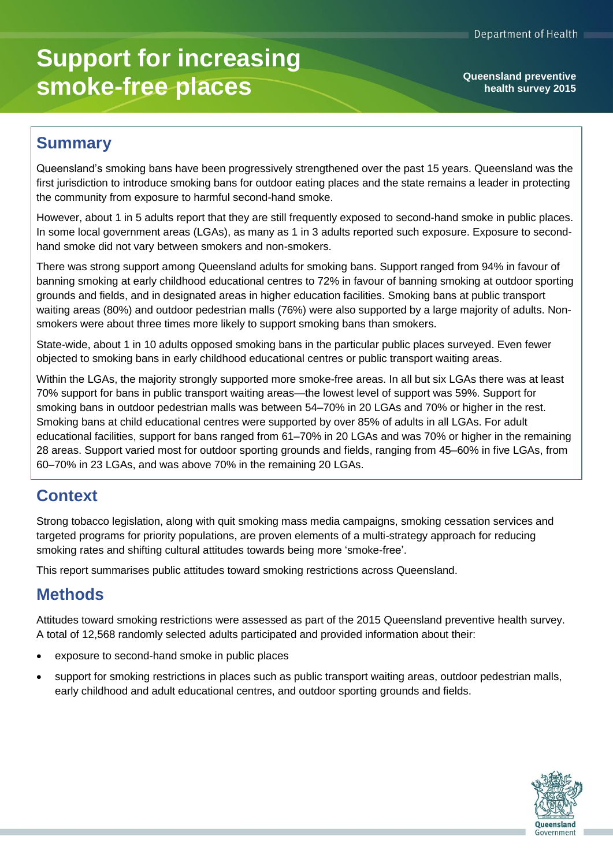# **Support for increasing smoke-free places**

**health survey 2015**

## **Summary**

Queensland's smoking bans have been progressively strengthened over the past 15 years. Queensland was the first jurisdiction to introduce smoking bans for outdoor eating places and the state remains a leader in protecting the community from exposure to harmful second-hand smoke.

However, about 1 in 5 adults report that they are still frequently exposed to second-hand smoke in public places. In some local government areas (LGAs), as many as 1 in 3 adults reported such exposure. Exposure to secondhand smoke did not vary between smokers and non-smokers.

There was strong support among Queensland adults for smoking bans. Support ranged from 94% in favour of banning smoking at early childhood educational centres to 72% in favour of banning smoking at outdoor sporting grounds and fields, and in designated areas in higher education facilities. Smoking bans at public transport waiting areas (80%) and outdoor pedestrian malls (76%) were also supported by a large majority of adults. Nonsmokers were about three times more likely to support smoking bans than smokers.

State-wide, about 1 in 10 adults opposed smoking bans in the particular public places surveyed. Even fewer objected to smoking bans in early childhood educational centres or public transport waiting areas.

Within the LGAs, the majority strongly supported more smoke-free areas. In all but six LGAs there was at least 70% support for bans in public transport waiting areas—the lowest level of support was 59%. Support for smoking bans in outdoor pedestrian malls was between 54–70% in 20 LGAs and 70% or higher in the rest. Smoking bans at child educational centres were supported by over 85% of adults in all LGAs. For adult educational facilities, support for bans ranged from 61–70% in 20 LGAs and was 70% or higher in the remaining 28 areas. Support varied most for outdoor sporting grounds and fields, ranging from 45–60% in five LGAs, from 60–70% in 23 LGAs, and was above 70% in the remaining 20 LGAs.

# **Context**

Strong tobacco legislation, along with quit smoking mass media campaigns, smoking cessation services and targeted programs for priority populations, are proven elements of a multi-strategy approach for reducing smoking rates and shifting cultural attitudes towards being more 'smoke-free'.

This report summarises public attitudes toward smoking restrictions across Queensland.

### **Methods**

Attitudes toward smoking restrictions were assessed as part of the 2015 Queensland preventive health survey. A total of 12,568 randomly selected adults participated and provided information about their:

- exposure to second-hand smoke in public places
- support for smoking restrictions in places such as public transport waiting areas, outdoor pedestrian malls, early childhood and adult educational centres, and outdoor sporting grounds and fields.

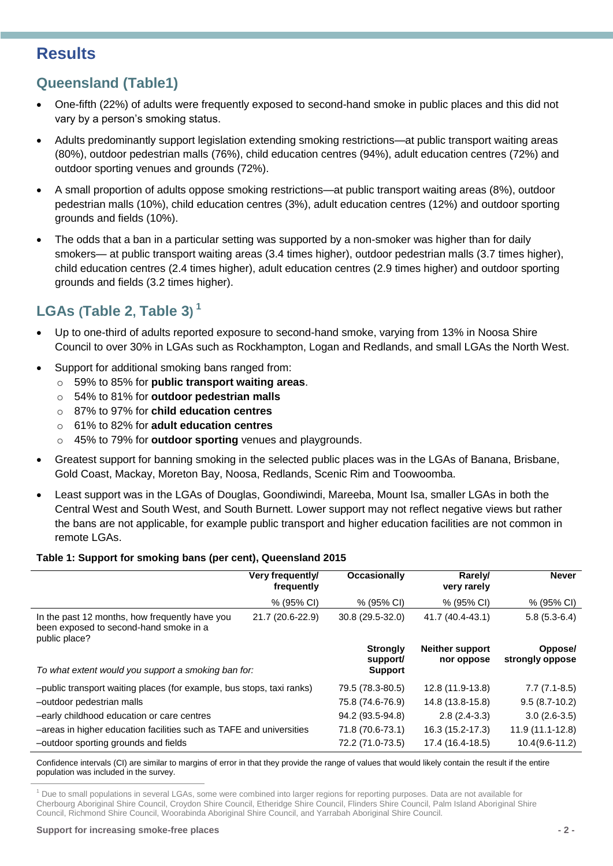# **Results**

### **Queensland (Table1)**

- One-fifth (22%) of adults were frequently exposed to second-hand smoke in public places and this did not vary by a person's smoking status.
- Adults predominantly support legislation extending smoking restrictions—at public transport waiting areas (80%), outdoor pedestrian malls (76%), child education centres (94%), adult education centres (72%) and outdoor sporting venues and grounds (72%).
- A small proportion of adults oppose smoking restrictions—at public transport waiting areas (8%), outdoor pedestrian malls (10%), child education centres (3%), adult education centres (12%) and outdoor sporting grounds and fields (10%).
- The odds that a ban in a particular setting was supported by a non-smoker was higher than for daily smokers— at public transport waiting areas (3.4 times higher), outdoor pedestrian malls (3.7 times higher), child education centres (2.4 times higher), adult education centres (2.9 times higher) and outdoor sporting grounds and fields (3.2 times higher).

# **LGAs ([Table 2](#page-2-0), [Table 3](#page-3-0)) 1**

- Up to one-third of adults reported exposure to second-hand smoke, varying from 13% in Noosa Shire Council to over 30% in LGAs such as Rockhampton, Logan and Redlands, and small LGAs the North West.
- Support for additional smoking bans ranged from:
	- o 59% to 85% for **public transport waiting areas**.
	- o 54% to 81% for **outdoor pedestrian malls**
	- o 87% to 97% for **child education centres**
	- o 61% to 82% for **adult education centres**
	- o 45% to 79% for **outdoor sporting** venues and playgrounds.
- Greatest support for banning smoking in the selected public places was in the LGAs of Banana, Brisbane, Gold Coast, Mackay, Moreton Bay, Noosa, Redlands, Scenic Rim and Toowoomba.
- Least support was in the LGAs of Douglas, Goondiwindi, Mareeba, Mount Isa, smaller LGAs in both the Central West and South West, and South Burnett. Lower support may not reflect negative views but rather the bans are not applicable, for example public transport and higher education facilities are not common in remote LGAs.

### **Table 1: Support for smoking bans (per cent), Queensland 2015**

|                                                                                                           | Very frequently/<br>frequently | <b>Occasionally</b>                           | Rarely/<br>very rarely               | <b>Never</b>               |
|-----------------------------------------------------------------------------------------------------------|--------------------------------|-----------------------------------------------|--------------------------------------|----------------------------|
|                                                                                                           | % (95% CI)                     | % (95% CI)                                    | % (95% CI)                           | $% (95\% \text{ Cl})$      |
| In the past 12 months, how frequently have you<br>been exposed to second-hand smoke in a<br>public place? | 21.7 (20.6-22.9)               | $30.8(29.5-32.0)$                             | 41.7 (40.4-43.1)                     | $5.8(5.3-6.4)$             |
| To what extent would you support a smoking ban for:                                                       |                                | <b>Strongly</b><br>support/<br><b>Support</b> | <b>Neither support</b><br>nor oppose | Oppose/<br>strongly oppose |
| -public transport waiting places (for example, bus stops, taxi ranks)                                     |                                | 79.5 (78.3-80.5)                              | 12.8 (11.9-13.8)                     | $7.7(7.1-8.5)$             |
| -outdoor pedestrian malls                                                                                 |                                | 75.8 (74.6-76.9)                              | 14.8 (13.8-15.8)                     | $9.5(8.7-10.2)$            |
| -early childhood education or care centres                                                                |                                | 94.2 (93.5-94.8)                              | $2.8(2.4-3.3)$                       | $3.0(2.6-3.5)$             |
| -areas in higher education facilities such as TAFE and universities                                       |                                | 71.8 (70.6-73.1)                              | 16.3 (15.2-17.3)                     | 11.9 (11.1-12.8)           |
| -outdoor sporting grounds and fields                                                                      |                                | 72.2 (71.0-73.5)                              | 17.4 (16.4-18.5)                     | $10.4(9.6-11.2)$           |

Confidence intervals (CI) are similar to margins of error in that they provide the range of values that would likely contain the result if the entire population was included in the survey.

<sup>1</sup> Due to small populations in several LGAs, some were combined into larger regions for reporting purposes. Data are not available for Cherbourg Aboriginal Shire Council, Croydon Shire Council, Etheridge Shire Council, Flinders Shire Council, Palm Island Aboriginal Shire Council, Richmond Shire Council, Woorabinda Aboriginal Shire Council, and Yarrabah Aboriginal Shire Council.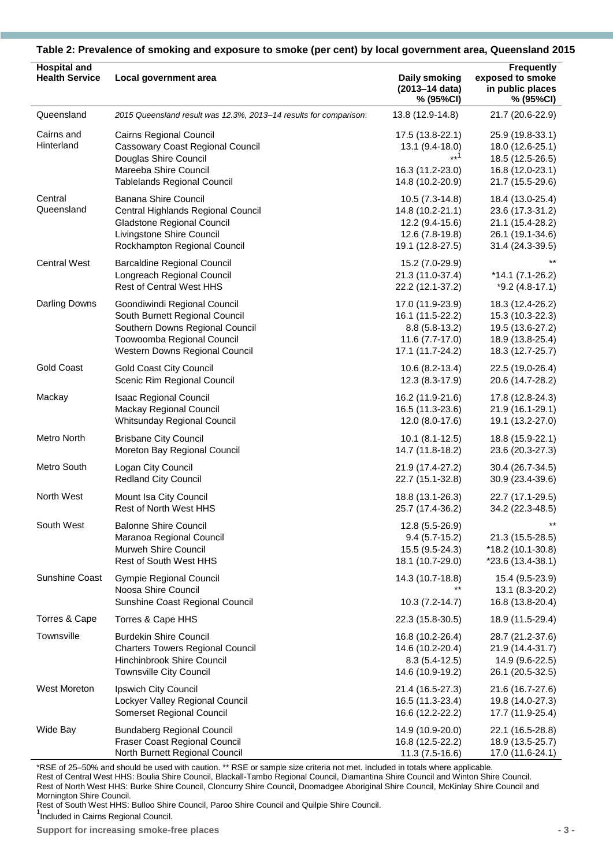| <b>Hospital and</b><br><b>Health Service</b> | Local government area                                                                                                                                      | Daily smoking<br>(2013-14 data)<br>% (95%CI)                                                  | <b>Frequently</b><br>exposed to smoke<br>in public places<br>% (95%CI)                           |  |
|----------------------------------------------|------------------------------------------------------------------------------------------------------------------------------------------------------------|-----------------------------------------------------------------------------------------------|--------------------------------------------------------------------------------------------------|--|
| Queensland                                   | 2015 Queensland result was 12.3%, 2013-14 results for comparison:                                                                                          | 13.8 (12.9-14.8)                                                                              | 21.7 (20.6-22.9)                                                                                 |  |
| Cairns and<br>Hinterland                     | Cairns Regional Council<br><b>Cassowary Coast Regional Council</b><br>Douglas Shire Council<br>Mareeba Shire Council<br><b>Tablelands Regional Council</b> | 17.5 (13.8-22.1)<br>13.1 (9.4-18.0)<br>$**1$<br>16.3 (11.2-23.0)<br>14.8 (10.2-20.9)          | 25.9 (19.8-33.1)<br>18.0 (12.6-25.1)<br>18.5 (12.5-26.5)<br>16.8 (12.0-23.1)<br>21.7 (15.5-29.6) |  |
| Central<br>Queensland                        | Banana Shire Council<br>Central Highlands Regional Council<br>Gladstone Regional Council<br>Livingstone Shire Council<br>Rockhampton Regional Council      | 10.5 (7.3-14.8)<br>14.8 (10.2-21.1)<br>12.2 (9.4-15.6)<br>12.6 (7.8-19.8)<br>19.1 (12.8-27.5) | 18.4 (13.0-25.4)<br>23.6 (17.3-31.2)<br>21.1 (15.4-28.2)<br>26.1 (19.1-34.6)<br>31.4 (24.3-39.5) |  |
| <b>Central West</b>                          | <b>Barcaldine Regional Council</b><br>Longreach Regional Council<br><b>Rest of Central West HHS</b>                                                        | 15.2 (7.0-29.9)<br>21.3 (11.0-37.4)<br>22.2 (12.1-37.2)                                       | $*14.1 (7.1 - 26.2)$<br>$*9.2(4.8-17.1)$                                                         |  |
| <b>Darling Downs</b>                         | Goondiwindi Regional Council                                                                                                                               | 17.0 (11.9-23.9)                                                                              | 18.3 (12.4-26.2)                                                                                 |  |
|                                              | South Burnett Regional Council                                                                                                                             | 16.1 (11.5-22.2)                                                                              | 15.3 (10.3-22.3)                                                                                 |  |
|                                              | Southern Downs Regional Council                                                                                                                            | $8.8(5.8-13.2)$                                                                               | 19.5 (13.6-27.2)                                                                                 |  |
|                                              | Toowoomba Regional Council                                                                                                                                 | 11.6 (7.7-17.0)                                                                               | 18.9 (13.8-25.4)                                                                                 |  |
|                                              | Western Downs Regional Council                                                                                                                             | 17.1 (11.7-24.2)                                                                              | 18.3 (12.7-25.7)                                                                                 |  |
| <b>Gold Coast</b>                            | <b>Gold Coast City Council</b>                                                                                                                             | 10.6 (8.2-13.4)                                                                               | 22.5 (19.0-26.4)                                                                                 |  |
|                                              | Scenic Rim Regional Council                                                                                                                                | 12.3 (8.3-17.9)                                                                               | 20.6 (14.7-28.2)                                                                                 |  |
| Mackay                                       | <b>Isaac Regional Council</b>                                                                                                                              | 16.2 (11.9-21.6)                                                                              | 17.8 (12.8-24.3)                                                                                 |  |
|                                              | Mackay Regional Council                                                                                                                                    | 16.5 (11.3-23.6)                                                                              | 21.9 (16.1-29.1)                                                                                 |  |
|                                              | Whitsunday Regional Council                                                                                                                                | 12.0 (8.0-17.6)                                                                               | 19.1 (13.2-27.0)                                                                                 |  |
| Metro North                                  | <b>Brisbane City Council</b>                                                                                                                               | $10.1 (8.1 - 12.5)$                                                                           | 18.8 (15.9-22.1)                                                                                 |  |
|                                              | Moreton Bay Regional Council                                                                                                                               | 14.7 (11.8-18.2)                                                                              | 23.6 (20.3-27.3)                                                                                 |  |
| Metro South                                  | Logan City Council                                                                                                                                         | 21.9 (17.4-27.2)                                                                              | 30.4 (26.7-34.5)                                                                                 |  |
|                                              | <b>Redland City Council</b>                                                                                                                                | 22.7 (15.1-32.8)                                                                              | 30.9 (23.4-39.6)                                                                                 |  |
| North West                                   | Mount Isa City Council                                                                                                                                     | 18.8 (13.1-26.3)                                                                              | 22.7 (17.1-29.5)                                                                                 |  |
|                                              | <b>Rest of North West HHS</b>                                                                                                                              | 25.7 (17.4-36.2)                                                                              | 34.2 (22.3-48.5)                                                                                 |  |
| South West                                   | <b>Balonne Shire Council</b>                                                                                                                               | 12.8 (5.5-26.9)                                                                               | $***$                                                                                            |  |
|                                              | Maranoa Regional Council                                                                                                                                   | $9.4(5.7-15.2)$                                                                               | 21.3 (15.5-28.5)                                                                                 |  |
|                                              | Murweh Shire Council                                                                                                                                       | 15.5 (9.5-24.3)                                                                               | *18.2 (10.1-30.8)                                                                                |  |
|                                              | <b>Rest of South West HHS</b>                                                                                                                              | 18.1 (10.7-29.0)                                                                              | *23.6 (13.4-38.1)                                                                                |  |
| <b>Sunshine Coast</b>                        | Gympie Regional Council<br>Noosa Shire Council<br>Sunshine Coast Regional Council                                                                          | 14.3 (10.7-18.8)<br>10.3 (7.2-14.7)                                                           | 15.4 (9.5-23.9)<br>13.1 (8.3-20.2)<br>16.8 (13.8-20.4)                                           |  |
| Torres & Cape                                | Torres & Cape HHS                                                                                                                                          | 22.3 (15.8-30.5)                                                                              | 18.9 (11.5-29.4)                                                                                 |  |
| Townsville                                   | <b>Burdekin Shire Council</b>                                                                                                                              | 16.8 (10.2-26.4)                                                                              | 28.7 (21.2-37.6)                                                                                 |  |
|                                              | <b>Charters Towers Regional Council</b>                                                                                                                    | 14.6 (10.2-20.4)                                                                              | 21.9 (14.4-31.7)                                                                                 |  |
|                                              | Hinchinbrook Shire Council                                                                                                                                 | $8.3(5.4-12.5)$                                                                               | 14.9 (9.6-22.5)                                                                                  |  |
|                                              | <b>Townsville City Council</b>                                                                                                                             | 14.6 (10.9-19.2)                                                                              | 26.1 (20.5-32.5)                                                                                 |  |
| West Moreton                                 | Ipswich City Council                                                                                                                                       | 21.4 (16.5-27.3)                                                                              | 21.6 (16.7-27.6)                                                                                 |  |
|                                              | Lockyer Valley Regional Council                                                                                                                            | 16.5 (11.3-23.4)                                                                              | 19.8 (14.0-27.3)                                                                                 |  |
|                                              | Somerset Regional Council                                                                                                                                  | 16.6 (12.2-22.2)                                                                              | 17.7 (11.9-25.4)                                                                                 |  |
| Wide Bay                                     | <b>Bundaberg Regional Council</b>                                                                                                                          | 14.9 (10.9-20.0)                                                                              | 22.1 (16.5-28.8)                                                                                 |  |
|                                              | Fraser Coast Regional Council                                                                                                                              | 16.8 (12.5-22.2)                                                                              | 18.9 (13.5-25.7)                                                                                 |  |
|                                              | North Burnett Regional Council                                                                                                                             | 11.3 (7.5-16.6)                                                                               | 17.0 (11.6-24.1)                                                                                 |  |

<span id="page-2-0"></span>**Table 2: Prevalence of smoking and exposure to smoke (per cent) by local government area, Queensland 2015**

\*RSE of 25–50% and should be used with caution. \*\* RSE or sample size criteria not met. Included in totals where applicable. Rest of Central West HHS: Boulia Shire Council, Blackall-Tambo Regional Council, Diamantina Shire Council and Winton Shire Council. Rest of North West HHS: Burke Shire Council, Cloncurry Shire Council, Doomadgee Aboriginal Shire Council, McKinlay Shire Council and Mornington Shire Council.

Rest of South West HHS: Bulloo Shire Council, Paroo Shire Council and Quilpie Shire Council. <sup>1</sup>Included in Cairns Regional Council.

**Support for increasing smoke-free places - 3 -**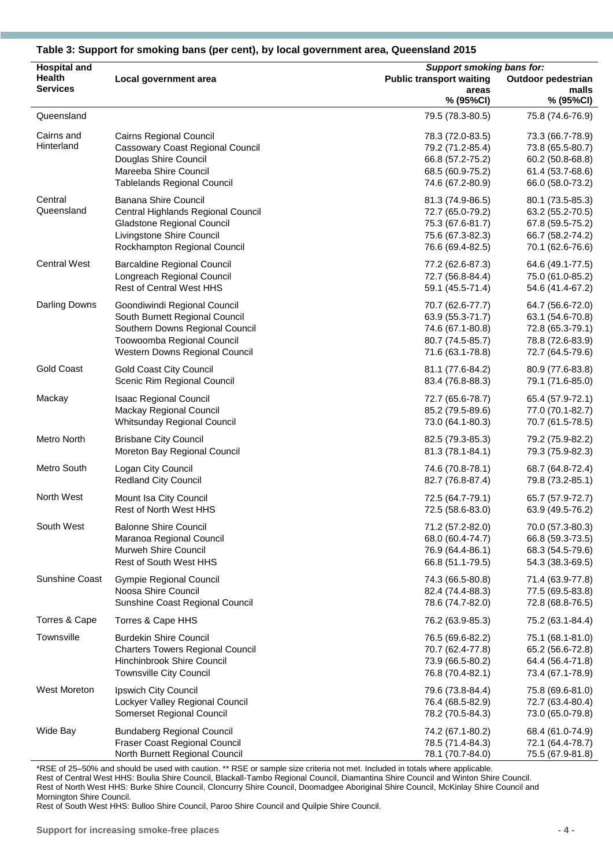| <b>Hospital and</b>      |                                                                                                                                                              |                                                                                                  | <b>Support smoking bans for:</b>                                                                 |  |
|--------------------------|--------------------------------------------------------------------------------------------------------------------------------------------------------------|--------------------------------------------------------------------------------------------------|--------------------------------------------------------------------------------------------------|--|
| Health                   | Local government area                                                                                                                                        | <b>Public transport waiting</b>                                                                  | <b>Outdoor pedestrian</b>                                                                        |  |
| <b>Services</b>          |                                                                                                                                                              | areas<br>% (95%CI)                                                                               | malls<br>% (95%CI)                                                                               |  |
| Queensland               |                                                                                                                                                              | 79.5 (78.3-80.5)                                                                                 | 75.8 (74.6-76.9)                                                                                 |  |
| Cairns and<br>Hinterland | Cairns Regional Council<br><b>Cassowary Coast Regional Council</b><br>Douglas Shire Council<br>Mareeba Shire Council<br><b>Tablelands Regional Council</b>   | 78.3 (72.0-83.5)<br>79.2 (71.2-85.4)<br>66.8 (57.2-75.2)<br>68.5 (60.9-75.2)<br>74.6 (67.2-80.9) | 73.3 (66.7-78.9)<br>73.8 (65.5-80.7)<br>60.2 (50.8-68.8)<br>61.4 (53.7-68.6)<br>66.0 (58.0-73.2) |  |
| Central<br>Queensland    | <b>Banana Shire Council</b><br>Central Highlands Regional Council<br>Gladstone Regional Council<br>Livingstone Shire Council<br>Rockhampton Regional Council | 81.3 (74.9-86.5)<br>72.7 (65.0-79.2)<br>75.3 (67.6-81.7)<br>75.6 (67.3-82.3)<br>76.6 (69.4-82.5) | 80.1 (73.5-85.3)<br>63.2 (55.2-70.5)<br>67.8 (59.5-75.2)<br>66.7 (58.2-74.2)<br>70.1 (62.6-76.6) |  |
| <b>Central West</b>      | <b>Barcaldine Regional Council</b>                                                                                                                           | 77.2 (62.6-87.3)                                                                                 | 64.6 (49.1-77.5)                                                                                 |  |
|                          | Longreach Regional Council                                                                                                                                   | 72.7 (56.8-84.4)                                                                                 | 75.0 (61.0-85.2)                                                                                 |  |
|                          | <b>Rest of Central West HHS</b>                                                                                                                              | 59.1 (45.5-71.4)                                                                                 | 54.6 (41.4-67.2)                                                                                 |  |
| Darling Downs            | Goondiwindi Regional Council                                                                                                                                 | 70.7 (62.6-77.7)                                                                                 | 64.7 (56.6-72.0)                                                                                 |  |
|                          | South Burnett Regional Council                                                                                                                               | 63.9 (55.3-71.7)                                                                                 | 63.1 (54.6-70.8)                                                                                 |  |
|                          | Southern Downs Regional Council                                                                                                                              | 74.6 (67.1-80.8)                                                                                 | 72.8 (65.3-79.1)                                                                                 |  |
|                          | Toowoomba Regional Council                                                                                                                                   | 80.7 (74.5-85.7)                                                                                 | 78.8 (72.6-83.9)                                                                                 |  |
|                          | Western Downs Regional Council                                                                                                                               | 71.6 (63.1-78.8)                                                                                 | 72.7 (64.5-79.6)                                                                                 |  |
| <b>Gold Coast</b>        | <b>Gold Coast City Council</b>                                                                                                                               | 81.1 (77.6-84.2)                                                                                 | 80.9 (77.6-83.8)                                                                                 |  |
|                          | Scenic Rim Regional Council                                                                                                                                  | 83.4 (76.8-88.3)                                                                                 | 79.1 (71.6-85.0)                                                                                 |  |
| Mackay                   | <b>Isaac Regional Council</b>                                                                                                                                | 72.7 (65.6-78.7)                                                                                 | 65.4 (57.9-72.1)                                                                                 |  |
|                          | Mackay Regional Council                                                                                                                                      | 85.2 (79.5-89.6)                                                                                 | 77.0 (70.1-82.7)                                                                                 |  |
|                          | Whitsunday Regional Council                                                                                                                                  | 73.0 (64.1-80.3)                                                                                 | 70.7 (61.5-78.5)                                                                                 |  |
| Metro North              | <b>Brisbane City Council</b>                                                                                                                                 | 82.5 (79.3-85.3)                                                                                 | 79.2 (75.9-82.2)                                                                                 |  |
|                          | Moreton Bay Regional Council                                                                                                                                 | 81.3 (78.1-84.1)                                                                                 | 79.3 (75.9-82.3)                                                                                 |  |
| Metro South              | Logan City Council                                                                                                                                           | 74.6 (70.8-78.1)                                                                                 | 68.7 (64.8-72.4)                                                                                 |  |
|                          | <b>Redland City Council</b>                                                                                                                                  | 82.7 (76.8-87.4)                                                                                 | 79.8 (73.2-85.1)                                                                                 |  |
| North West               | Mount Isa City Council                                                                                                                                       | 72.5 (64.7-79.1)                                                                                 | 65.7 (57.9-72.7)                                                                                 |  |
|                          | Rest of North West HHS                                                                                                                                       | 72.5 (58.6-83.0)                                                                                 | 63.9 (49.5-76.2)                                                                                 |  |
| South West               | <b>Balonne Shire Council</b>                                                                                                                                 | 71.2 (57.2-82.0)                                                                                 | 70.0 (57.3-80.3)                                                                                 |  |
|                          | Maranoa Regional Council                                                                                                                                     | 68.0 (60.4-74.7)                                                                                 | 66.8 (59.3-73.5)                                                                                 |  |
|                          | Murweh Shire Council                                                                                                                                         | 76.9 (64.4-86.1)                                                                                 | 68.3 (54.5-79.6)                                                                                 |  |
|                          | Rest of South West HHS                                                                                                                                       | 66.8 (51.1-79.5)                                                                                 | 54.3 (38.3-69.5)                                                                                 |  |
| <b>Sunshine Coast</b>    | <b>Gympie Regional Council</b>                                                                                                                               | 74.3 (66.5-80.8)                                                                                 | 71.4 (63.9-77.8)                                                                                 |  |
|                          | Noosa Shire Council                                                                                                                                          | 82.4 (74.4-88.3)                                                                                 | 77.5 (69.5-83.8)                                                                                 |  |
|                          | Sunshine Coast Regional Council                                                                                                                              | 78.6 (74.7-82.0)                                                                                 | 72.8 (68.8-76.5)                                                                                 |  |
| Torres & Cape            | Torres & Cape HHS                                                                                                                                            | 76.2 (63.9-85.3)                                                                                 | 75.2 (63.1-84.4)                                                                                 |  |
| Townsville               | <b>Burdekin Shire Council</b>                                                                                                                                | 76.5 (69.6-82.2)                                                                                 | 75.1 (68.1-81.0)                                                                                 |  |
|                          | <b>Charters Towers Regional Council</b>                                                                                                                      | 70.7 (62.4-77.8)                                                                                 | 65.2 (56.6-72.8)                                                                                 |  |
|                          | Hinchinbrook Shire Council                                                                                                                                   | 73.9 (66.5-80.2)                                                                                 | 64.4 (56.4-71.8)                                                                                 |  |
|                          | <b>Townsville City Council</b>                                                                                                                               | 76.8 (70.4-82.1)                                                                                 | 73.4 (67.1-78.9)                                                                                 |  |
| West Moreton             | Ipswich City Council                                                                                                                                         | 79.6 (73.8-84.4)                                                                                 | 75.8 (69.6-81.0)                                                                                 |  |
|                          | Lockyer Valley Regional Council                                                                                                                              | 76.4 (68.5-82.9)                                                                                 | 72.7 (63.4-80.4)                                                                                 |  |
|                          | Somerset Regional Council                                                                                                                                    | 78.2 (70.5-84.3)                                                                                 | 73.0 (65.0-79.8)                                                                                 |  |
| Wide Bay                 | <b>Bundaberg Regional Council</b>                                                                                                                            | 74.2 (67.1-80.2)                                                                                 | 68.4 (61.0-74.9)                                                                                 |  |
|                          | Fraser Coast Regional Council                                                                                                                                | 78.5 (71.4-84.3)                                                                                 | 72.1 (64.4-78.7)                                                                                 |  |
|                          | North Burnett Regional Council                                                                                                                               | 78.1 (70.7-84.0)                                                                                 | 75.5 (67.9-81.8)                                                                                 |  |

#### <span id="page-3-0"></span>**Table 3: Support for smoking bans (per cent), by local government area, Queensland 2015**

\*RSE of 25–50% and should be used with caution. \*\* RSE or sample size criteria not met. Included in totals where applicable. Rest of Central West HHS: Boulia Shire Council, Blackall-Tambo Regional Council, Diamantina Shire Council and Winton Shire Council. Rest of North West HHS: Burke Shire Council, Cloncurry Shire Council, Doomadgee Aboriginal Shire Council, McKinlay Shire Council and Mornington Shire Council.

Rest of South West HHS: Bulloo Shire Council, Paroo Shire Council and Quilpie Shire Council.